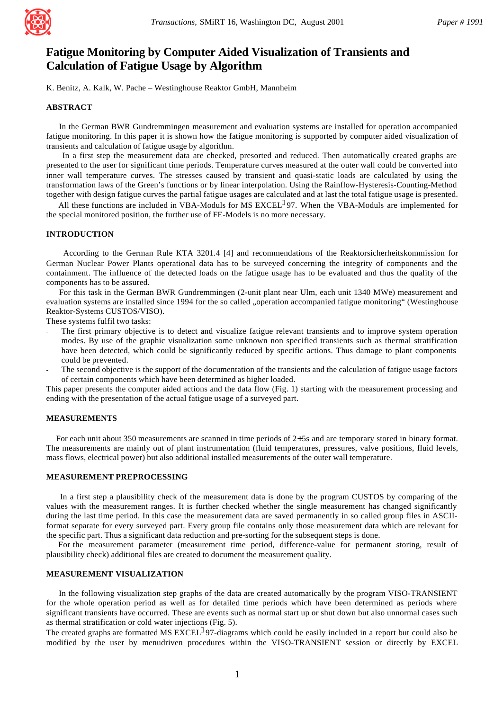

# **Fatigue Monitoring by Computer Aided Visualization of Transients and Calculation of Fatigue Usage by Algorithm**

K. Benitz, A. Kalk, W. Pache – Westinghouse Reaktor GmbH, Mannheim

## **ABSTRACT**

 In the German BWR Gundremmingen measurement and evaluation systems are installed for operation accompanied fatigue monitoring. In this paper it is shown how the fatigue monitoring is supported by computer aided visualization of transients and calculation of fatigue usage by algorithm.

 In a first step the measurement data are checked, presorted and reduced. Then automatically created graphs are presented to the user for significant time periods. Temperature curves measured at the outer wall could be converted into inner wall temperature curves. The stresses caused by transient and quasi-static loads are calculated by using the transformation laws of the Green's functions or by linear interpolation. Using the Rainflow-Hysteresis-Counting-Method together with design fatigue curves the partial fatigue usages are calculated and at last the total fatigue usage is presented.

All these functions are included in VBA-Moduls for MS EXCEL<sup>®</sup>97. When the VBA-Moduls are implemented for the special monitored position, the further use of FE-Models is no more necessary.

## **INTRODUCTION**

 According to the German Rule KTA 3201.4 [4] and recommendations of the Reaktorsicherheitskommission for German Nuclear Power Plants operational data has to be surveyed concerning the integrity of components and the containment. The influence of the detected loads on the fatigue usage has to be evaluated and thus the quality of the components has to be assured.

 For this task in the German BWR Gundremmingen (2-unit plant near Ulm, each unit 1340 MWe) measurement and evaluation systems are installed since 1994 for the so called "operation accompanied fatigue monitoring" (Westinghouse Reaktor-Systems CUSTOS/VISO).

These systems fulfil two tasks:

- The first primary objective is to detect and visualize fatigue relevant transients and to improve system operation modes. By use of the graphic visualization some unknown non specified transients such as thermal stratification have been detected, which could be significantly reduced by specific actions. Thus damage to plant components could be prevented.
- The second objective is the support of the documentation of the transients and the calculation of fatigue usage factors of certain components which have been determined as higher loaded.

This paper presents the computer aided actions and the data flow (Fig. 1) starting with the measurement processing and ending with the presentation of the actual fatigue usage of a surveyed part.

#### **MEASUREMENTS**

 For each unit about 350 measurements are scanned in time periods of 2÷5s and are temporary stored in binary format. The measurements are mainly out of plant instrumentation (fluid temperatures, pressures, valve positions, fluid levels, mass flows, electrical power) but also additional installed measurements of the outer wall temperature.

## **MEASUREMENT PREPROCESSING**

 In a first step a plausibility check of the measurement data is done by the program CUSTOS by comparing of the values with the measurement ranges. It is further checked whether the single measurement has changed significantly during the last time period. In this case the measurement data are saved permanently in so called group files in ASCIIformat separate for every surveyed part. Every group file contains only those measurement data which are relevant for the specific part. Thus a significant data reduction and pre-sorting for the subsequent steps is done.

 For the measurement parameter (measurement time period, difference-value for permanent storing, result of plausibility check) additional files are created to document the measurement quality.

### **MEASUREMENT VISUALIZATION**

 In the following visualization step graphs of the data are created automatically by the program VISO-TRANSIENT for the whole operation period as well as for detailed time periods which have been determined as periods where significant transients have occurred. These are events such as normal start up or shut down but also unnormal cases such as thermal stratification or cold water injections (Fig. 5).

The created graphs are formatted MS EXCEL®97-diagrams which could be easily included in a report but could also be modified by the user by menudriven procedures within the VISO-TRANSIENT session or directly by EXCEL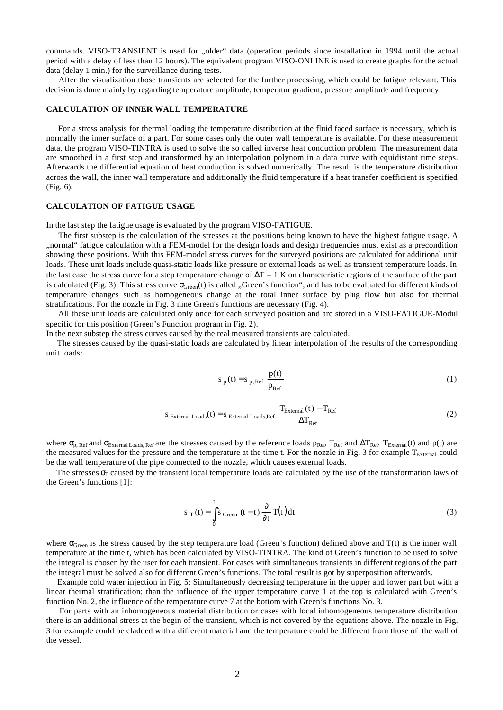commands. VISO-TRANSIENT is used for "older" data (operation periods since installation in 1994 until the actual period with a delay of less than 12 hours). The equivalent program VISO-ONLINE is used to create graphs for the actual data (delay 1 min.) for the surveillance during tests.

 After the visualization those transients are selected for the further processing, which could be fatigue relevant. This decision is done mainly by regarding temperature amplitude, temperatur gradient, pressure amplitude and frequency.

## **CALCULATION OF INNER WALL TEMPERATURE**

 For a stress analysis for thermal loading the temperature distribution at the fluid faced surface is necessary, which is normally the inner surface of a part. For some cases only the outer wall temperature is available. For these measurement data, the program VISO-TINTRA is used to solve the so called inverse heat conduction problem. The measurement data are smoothed in a first step and transformed by an interpolation polynom in a data curve with equidistant time steps. Afterwards the differential equation of heat conduction is solved numerically. The result is the temperature distribution across the wall, the inner wall temperature and additionally the fluid temperature if a heat transfer coefficient is specified (Fig. 6).

## **CALCULATION OF FATIGUE USAGE**

In the last step the fatigue usage is evaluated by the program VISO-FATIGUE.

 The first substep is the calculation of the stresses at the positions being known to have the highest fatigue usage. A "normal" fatigue calculation with a FEM-model for the design loads and design frequencies must exist as a precondition showing these positions. With this FEM-model stress curves for the surveyed positions are calculated for additional unit loads. These unit loads include quasi-static loads like pressure or external loads as well as transient temperature loads. In the last case the stress curve for a step temperature change of  $\Delta T = 1$  K on characteristic regions of the surface of the part is calculated (Fig. 3). This stress curve  $\sigma_{Green}(t)$  is called "Green's function", and has to be evaluated for different kinds of temperature changes such as homogeneous change at the total inner surface by plug flow but also for thermal stratifications. For the nozzle in Fig. 3 nine Green's functions are necessary (Fig. 4).

 All these unit loads are calculated only once for each surveyed position and are stored in a VISO-FATIGUE-Modul specific for this position (Green's Function program in Fig. 2).

In the next substep the stress curves caused by the real measured transients are calculated.

 The stresses caused by the quasi-static loads are calculated by linear interpolation of the results of the corresponding unit loads:

$$
s_p(t) = s_{p, Ref} \frac{p(t)}{p_{Ref}}
$$
 (1)

$$
S_{\text{External Loads}}(t) = S_{\text{External Loads,Ref}} \frac{T_{\text{External}}(t) - T_{\text{Ref}}}{\Delta T_{\text{Ref}}}
$$
(2)

where  $\sigma_{p, Ref}$  and  $\sigma_{Exremal Load, Ref}$  are the stresses caused by the reference loads  $p_{Ref}$ ,  $T_{Ref}$  and  $\Delta T_{Ref}$ . T<sub>External</sub>(t) and p(t) are the measured values for the pressure and the temperature at the time t. For the nozzle in Fig. 3 for example  $T_{\text{External}}$  could be the wall temperature of the pipe connected to the nozzle, which causes external loads.

The stresses  $\sigma_{\Gamma}$  caused by the transient local temperature loads are calculated by the use of the transformation laws of the Green's functions [1]:

$$
s_{T}(t) = \int_{0}^{t} s_{Green}(t-t) \frac{\partial}{\partial t} T(t) dt
$$
 (3)

where  $\sigma_{Green}$  is the stress caused by the step temperature load (Green's function) defined above and  $T(t)$  is the inner wall temperature at the time t, which has been calculated by VISO-TINTRA. The kind of Green's function to be used to solve the integral is chosen by the user for each transient. For cases with simultaneous transients in different regions of the part the integral must be solved also for different Green's functions. The total result is got by superposition afterwards.

 Example cold water injection in Fig. 5: Simultaneously decreasing temperature in the upper and lower part but with a linear thermal stratification; than the influence of the upper temperature curve 1 at the top is calculated with Green's function No. 2, the influence of the temperature curve 7 at the bottom with Green's functions No. 3.

 For parts with an inhomogeneous material distribution or cases with local inhomogeneous temperature distribution there is an additional stress at the begin of the transient, which is not covered by the equations above. The nozzle in Fig. 3 for example could be cladded with a different material and the temperature could be different from those of the wall of the vessel.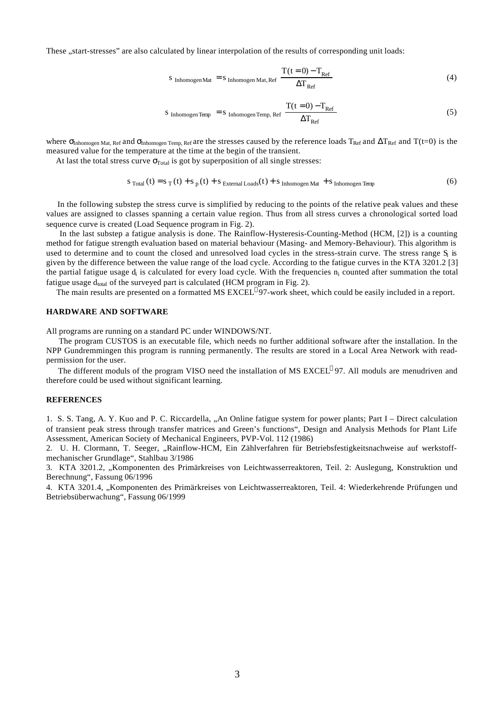These "start-stresses" are also calculated by linear interpolation of the results of corresponding unit loads:

$$
s_{\text{Inhomogen Mat}} = s_{\text{Inhomogen Mat,Ref}} \frac{T(t=0) - T_{\text{Ref}}}{\Delta T_{\text{Ref}}} \tag{4}
$$

$$
S_{\text{Inhomogen Temp}} = S_{\text{Inhomogen Temp, Ref}} \frac{T(t=0) - T_{\text{Ref}}}{\Delta T_{\text{Ref}}} \tag{5}
$$

where  $\sigma_{Inhomogen Mat, Ref}$  and  $\sigma_{Inhomogen Temp, Ref}$  are the stresses caused by the reference loads  $T_{Ref}$  and  $\Delta T_{Ref}$  and  $T(t=0)$  is the measured value for the temperature at the time at the begin of the transient.

At last the total stress curve  $\sigma_{\text{Total}}$  is got by superposition of all single stresses:

$$
S_{\text{Total}}(t) = S_{\text{T}}(t) + S_{\text{p}}(t) + S_{\text{External Loads}}(t) + S_{\text{ Inhomogen Mat}} + S_{\text{ Inhomogen Temp}}
$$
(6)

 In the following substep the stress curve is simplified by reducing to the points of the relative peak values and these values are assigned to classes spanning a certain value region. Thus from all stress curves a chronological sorted load sequence curve is created (Load Sequence program in Fig. 2).

 In the last substep a fatigue analysis is done. The Rainflow-Hysteresis-Counting-Method (HCM, [2]) is a counting method for fatigue strength evaluation based on material behaviour (Masing- and Memory-Behaviour). This algorithm is used to determine and to count the closed and unresolved load cycles in the stress-strain curve. The stress range  $S_i$  is given by the difference between the value range of the load cycle. According to the fatigue curves in the KTA 3201.2 [3] the partial fatigue usage  $d_i$  is calculated for every load cycle. With the frequencies  $n_i$  counted after summation the total fatigue usage  $d_{total}$  of the surveyed part is calculated (HCM program in Fig. 2).

The main results are presented on a formatted MS EXCEL<sup>®</sup>97-work sheet, which could be easily included in a report.

### **HARDWARE AND SOFTWARE**

All programs are running on a standard PC under WINDOWS/NT.

 The program CUSTOS is an executable file, which needs no further additional software after the installation. In the NPP Gundremmingen this program is running permanently. The results are stored in a Local Area Network with readpermission for the user.

The different moduls of the program VISO need the installation of MS EXCEL<sup>®</sup>97. All moduls are menudriven and therefore could be used without significant learning.

#### **REFERENCES**

1. S. S. Tang, A. Y. Kuo and P. C. Riccardella, "An Online fatigue system for power plants; Part I – Direct calculation of transient peak stress through transfer matrices and Green's functions", Design and Analysis Methods for Plant Life Assessment, American Society of Mechanical Engineers, PVP-Vol. 112 (1986)

2. U. H. Clormann, T. Seeger, "Rainflow-HCM, Ein Zählverfahren für Betriebsfestigkeitsnachweise auf werkstoffmechanischer Grundlage", Stahlbau 3/1986

3. KTA 3201.2, "Komponenten des Primärkreises von Leichtwasserreaktoren, Teil. 2: Auslegung, Konstruktion und Berechnung", Fassung 06/1996

4. KTA 3201.4, "Komponenten des Primärkreises von Leichtwasserreaktoren, Teil. 4: Wiederkehrende Prüfungen und Betriebsüberwachung", Fassung 06/1999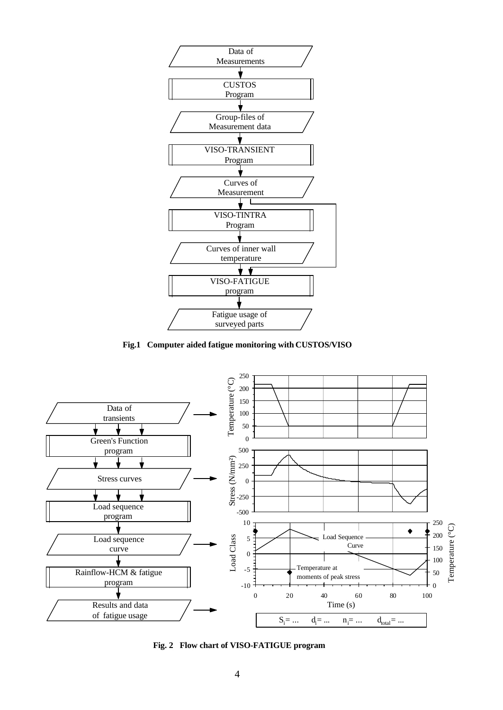

**Fig.1 Computer aided fatigue monitoring with CUSTOS/VISO**



**Fig. 2 Flow chart of VISO-FATIGUE program**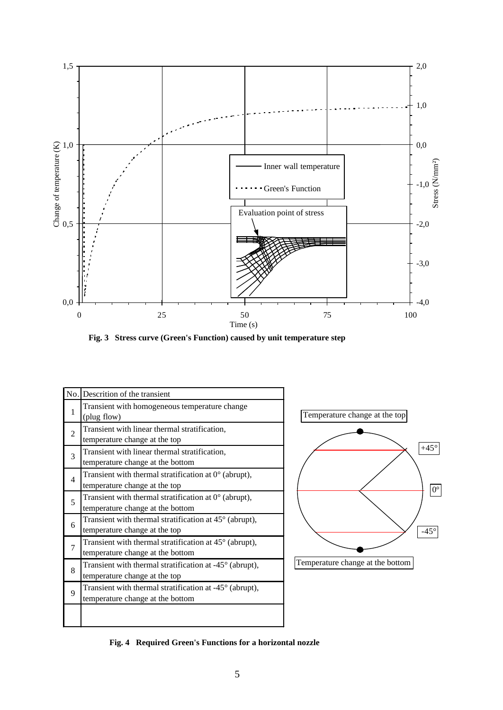

**Fig. 3 Stress curve (Green's Function) caused by unit temperature step**

|                | No. Descrition of the transient                                                                     |
|----------------|-----------------------------------------------------------------------------------------------------|
| 1              | Transient with homogeneous temperature change<br>(plug flow)                                        |
| 2              | Transient with linear thermal stratification,<br>temperature change at the top                      |
| 3              | Transient with linear thermal stratification,<br>temperature change at the bottom                   |
| $\overline{4}$ | Transient with thermal stratification at $0^{\circ}$ (abrupt),<br>temperature change at the top     |
| 5              | Transient with thermal stratification at $0^{\circ}$ (abrupt),<br>temperature change at the bottom  |
| 6              | Transient with thermal stratification at $45^{\circ}$ (abrupt),<br>temperature change at the top    |
| $\overline{7}$ | Transient with thermal stratification at $45^{\circ}$ (abrupt),<br>temperature change at the bottom |
| 8              | Transient with thermal stratification at $-45^{\circ}$ (abrupt),<br>temperature change at the top   |
| 9              | Transient with thermal stratification at -45° (abrupt),<br>temperature change at the bottom         |
|                |                                                                                                     |



**Fig. 4 Required Green's Functions for a horizontal nozzle**